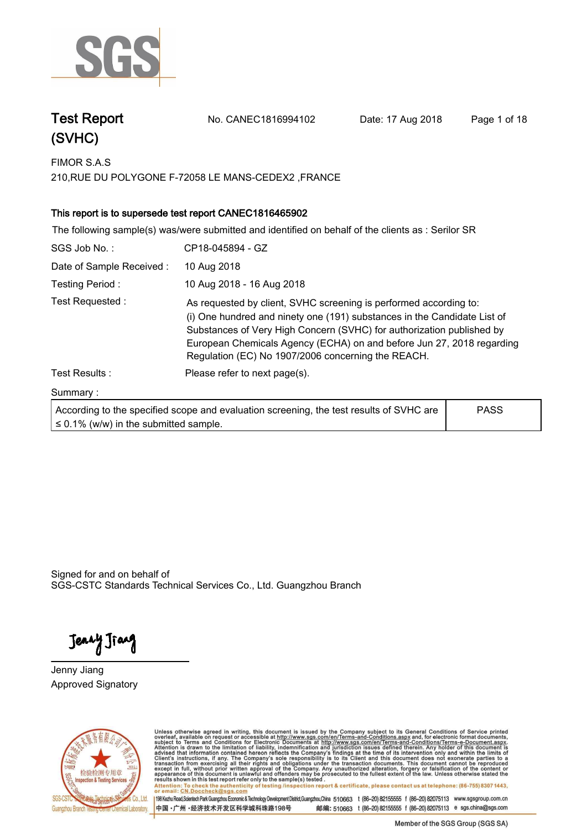

**Test Report. No. CANEC1816994102 Date: 17 Aug 2018. Page 1 of 18.**

| FIMOR S.A.S                                         |  |
|-----------------------------------------------------|--|
| 210, RUE DU POLYGONE F-72058 LE MANS-CEDEX2, FRANCE |  |

### **.This report is to supersede test report CANEC1816465902.**

|                          | The following sample(s) was/were submitted and identified on behalf of the clients as : Serilor SR                                                                                                                                                                                                                                                    |             |
|--------------------------|-------------------------------------------------------------------------------------------------------------------------------------------------------------------------------------------------------------------------------------------------------------------------------------------------------------------------------------------------------|-------------|
| SGS Job No.:             | CP18-045894 - GZ                                                                                                                                                                                                                                                                                                                                      |             |
| Date of Sample Received: | 10 Aug 2018                                                                                                                                                                                                                                                                                                                                           |             |
| Testing Period:          | 10 Aug 2018 - 16 Aug 2018                                                                                                                                                                                                                                                                                                                             |             |
| Test Requested:          | As requested by client, SVHC screening is performed according to:<br>(i) One hundred and ninety one (191) substances in the Candidate List of<br>Substances of Very High Concern (SVHC) for authorization published by<br>European Chemicals Agency (ECHA) on and before Jun 27, 2018 regarding<br>Regulation (EC) No 1907/2006 concerning the REACH. |             |
| Test Results:            | Please refer to next page(s).                                                                                                                                                                                                                                                                                                                         |             |
| Summary:                 |                                                                                                                                                                                                                                                                                                                                                       |             |
|                          | According to the specified scope and evaluation screening, the test results of SVHC are                                                                                                                                                                                                                                                               | <b>PASS</b> |

Signed for and on behalf of

SGS-CSTC Standards Technical Services Co., Ltd. Guangzhou Branch.

Jenny Jiang

**≤ 0.1% (w/w) in the submitted sample.**

**Jenny Jiang. Approved Signatory. . .**



Unless otherwise agreed in writing, this document is issued by the Company subject to its General Conditions of Service printed<br>overleaf, available on request or accessible at http://www.sgs.com/en/Terms-and-Conditions.asp Attention: To check the authenticity of testing /inspection report & certificate, please contact us at telephone: (86-755) 8307 1443,<br>Attention: To check the authenticity of testing /inspection report & certificate, please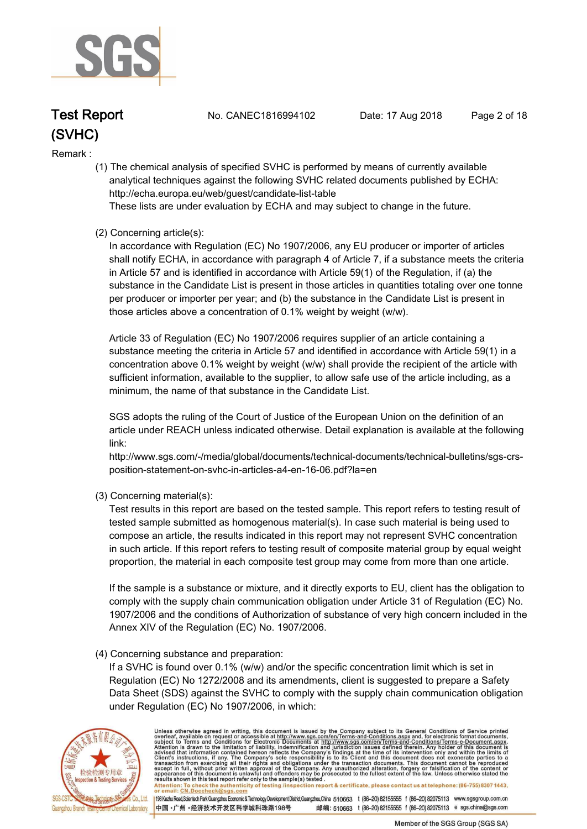

**Test Report. No. CANEC1816994102 Date: 17 Aug 2018. Page 2 of 18.**

#### **Remark :.**

 **(1) The chemical analysis of specified SVHC is performed by means of currently available analytical techniques against the following SVHC related documents published by ECHA: http://echa.europa.eu/web/guest/candidate-list-table** 

 **These lists are under evaluation by ECHA and may subject to change in the future.** 

#### **(2) Concerning article(s):**

 **In accordance with Regulation (EC) No 1907/2006, any EU producer or importer of articles shall notify ECHA, in accordance with paragraph 4 of Article 7, if a substance meets the criteria in Article 57 and is identified in accordance with Article 59(1) of the Regulation, if (a) the substance in the Candidate List is present in those articles in quantities totaling over one tonne per producer or importer per year; and (b) the substance in the Candidate List is present in those articles above a concentration of 0.1% weight by weight (w/w).** 

 **Article 33 of Regulation (EC) No 1907/2006 requires supplier of an article containing a substance meeting the criteria in Article 57 and identified in accordance with Article 59(1) in a concentration above 0.1% weight by weight (w/w) shall provide the recipient of the article with sufficient information, available to the supplier, to allow safe use of the article including, as a minimum, the name of that substance in the Candidate List.** 

 **SGS adopts the ruling of the Court of Justice of the European Union on the definition of an article under REACH unless indicated otherwise. Detail explanation is available at the following link:** 

 **http://www.sgs.com/-/media/global/documents/technical-documents/technical-bulletins/sgs-crs position-statement-on-svhc-in-articles-a4-en-16-06.pdf?la=en** 

 **(3) Concerning material(s):** 

 **Test results in this report are based on the tested sample. This report refers to testing result of tested sample submitted as homogenous material(s). In case such material is being used to compose an article, the results indicated in this report may not represent SVHC concentration in such article. If this report refers to testing result of composite material group by equal weight proportion, the material in each composite test group may come from more than one article.** 

 **If the sample is a substance or mixture, and it directly exports to EU, client has the obligation to comply with the supply chain communication obligation under Article 31 of Regulation (EC) No. 1907/2006 and the conditions of Authorization of substance of very high concern included in the Annex XIV of the Regulation (EC) No. 1907/2006.** 

#### **(4) Concerning substance and preparation:**

 **If a SVHC is found over 0.1% (w/w) and/or the specific concentration limit which is set in Regulation (EC) No 1272/2008 and its amendments, client is suggested to prepare a Safety Data Sheet (SDS) against the SVHC to comply with the supply chain communication obligation under Regulation (EC) No 1907/2006, in which:** 



Unless otherwise agreed in writing, this document is issued by the Company subject to its General Conditions of Service printed overleaf, available on request or accessible at http://www.sgs.com/en/Terms-and-Conditions.asp Attention: To check the authenticity of testing /inspection report & certificate, please contact us at telephone: (86-755) 8307 1443,<br>or email: CN.Doccheck@sgs.com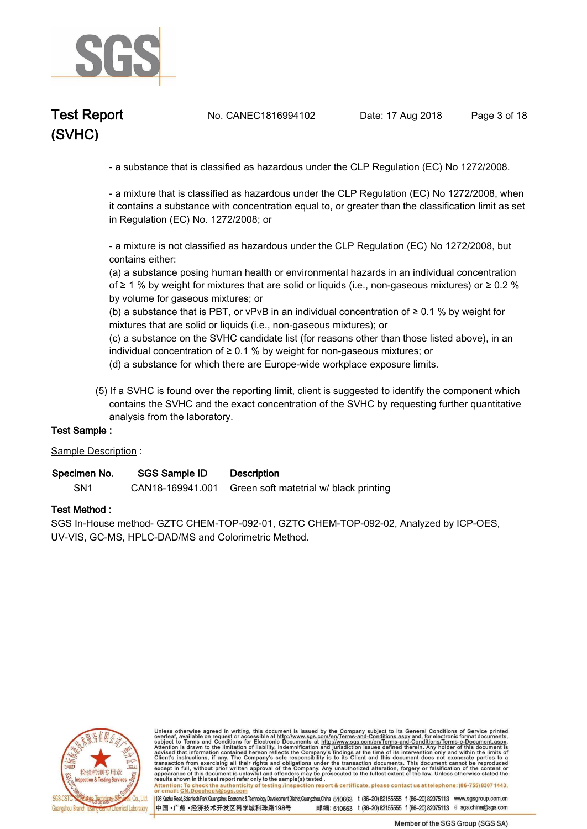

**Test Report. No. CANEC1816994102 Date: 17 Aug 2018. Page 3 of 18.**

 **- a substance that is classified as hazardous under the CLP Regulation (EC) No 1272/2008.** 

 **- a mixture that is classified as hazardous under the CLP Regulation (EC) No 1272/2008, when it contains a substance with concentration equal to, or greater than the classification limit as set in Regulation (EC) No. 1272/2008; or** 

 **- a mixture is not classified as hazardous under the CLP Regulation (EC) No 1272/2008, but contains either:** 

 **(a) a substance posing human health or environmental hazards in an individual concentration of ≥ 1 % by weight for mixtures that are solid or liquids (i.e., non-gaseous mixtures) or ≥ 0.2 % by volume for gaseous mixtures; or** 

 **(b) a substance that is PBT, or vPvB in an individual concentration of ≥ 0.1 % by weight for mixtures that are solid or liquids (i.e., non-gaseous mixtures); or** 

 **(c) a substance on the SVHC candidate list (for reasons other than those listed above), in an individual concentration of ≥ 0.1 % by weight for non-gaseous mixtures; or** 

 **(d) a substance for which there are Europe-wide workplace exposure limits.**

 **(5) If a SVHC is found over the reporting limit, client is suggested to identify the component which contains the SVHC and the exact concentration of the SVHC by requesting further quantitative analysis from the laboratory.** 

#### **Test Sample :.**

**Sample Description :.**

| Specimen No. | <b>SGS Sample ID</b> | <b>Description</b> |  |
|--------------|----------------------|--------------------|--|
|--------------|----------------------|--------------------|--|

**SN1. CAN18-169941.001 Green soft matetrial w/ black printing.**

#### **Test Method :.**

**SGS In-House method- GZTC CHEM-TOP-092-01, GZTC CHEM-TOP-092-02, Analyzed by ICP-OES, UV-VIS, GC-MS, HPLC-DAD/MS and Colorimetric Method..**



Unless otherwise agreed in writing, this document is issued by the Company subject to its General Conditions of Service printed overleaf, available on request or accessible at http://www.sgs.com/en/Terms-and-Conditions.asp Attention: To check the authenticity of testing /inspection report & certificate, please contact us at telephone: (86-755) 8307 1443,<br>or email: CN.Doccheck@sgs.com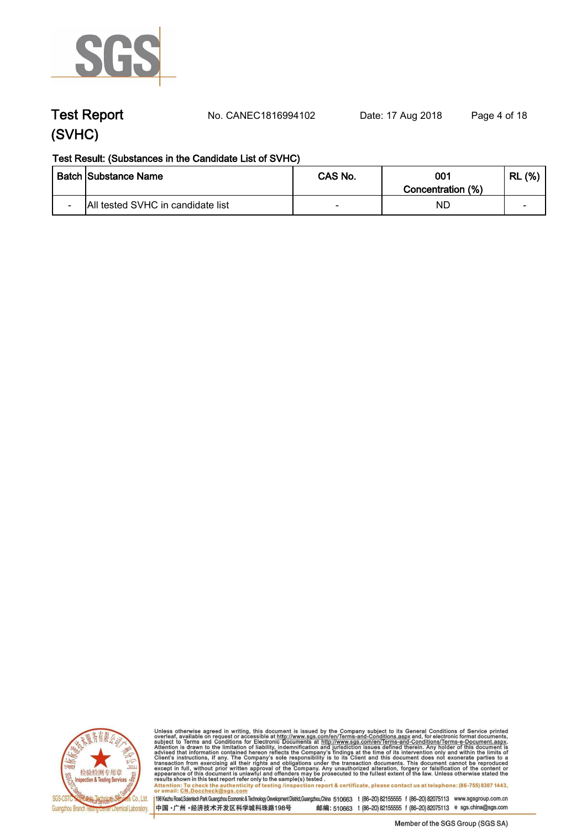

**Test Report. No. CANEC1816994102 Date: 17 Aug 2018. Page 4 of 18.**

### **Test Result: (Substances in the Candidate List of SVHC)**

|                          | Batch  Substance Name             | CAS No.                  | 001<br>Concentration (%) | (% )<br>Ð<br>ПL. |
|--------------------------|-----------------------------------|--------------------------|--------------------------|------------------|
| $\overline{\phantom{0}}$ | All tested SVHC in candidate list | $\overline{\phantom{a}}$ | ΝC                       | $\sim$           |



Unless otherwise agreed in writing, this document is issued by the Company subject to its General Conditions of Service printed<br>overleaf, available on request or accessible at http://www.sgs.com/en/Terms-and-Conditions.asp results shown in this test report refer only to the sample(s) tested .<br>Attention: To check the authenticity of testing /inspection report & certificate, please contact us at telephone: (86-755) 8307 1443,<br>or email: <u>CN.Doc</u>

198 Kezhu Road,Scientech Park Guangzhou Economic & Technology Development District,Guangzhou,China 510663 t (86-20) 82155555 f (86-20) 82075113 www.sgsgroup.com.cn

中国·广州·经济技术开发区科学城科珠路198号 邮编: 510663 t (86-20) 82155555 f (86-20) 82075113 e sgs.china@sgs.com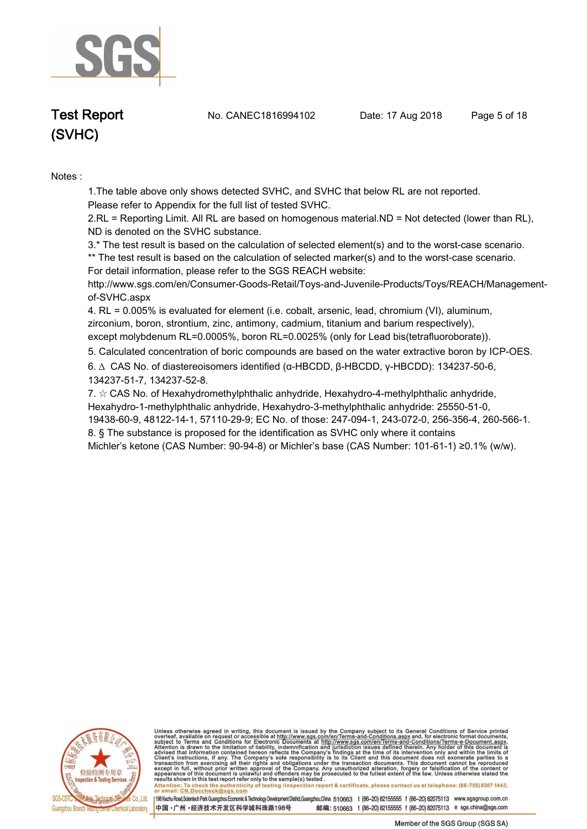

**Test Report. No. CANEC1816994102 Date: 17 Aug 2018. Page 5 of 18.**

# **(SVHC)**

**Notes :.**

**1.The table above only shows detected SVHC, and SVHC that below RL are not reported.** 

**Please refer to Appendix for the full list of tested SVHC.**

**2.RL = Reporting Limit. All RL are based on homogenous material.ND = Not detected (lower than RL), ND is denoted on the SVHC substance.**

**3.\* The test result is based on the calculation of selected element(s) and to the worst-case scenario.** 

**\*\* The test result is based on the calculation of selected marker(s) and to the worst-case scenario. For detail information, please refer to the SGS REACH website:** 

**http://www.sgs.com/en/Consumer-Goods-Retail/Toys-and-Juvenile-Products/Toys/REACH/Managementof-SVHC.aspx**

**4. RL = 0.005% is evaluated for element (i.e. cobalt, arsenic, lead, chromium (VI), aluminum, zirconium, boron, strontium, zinc, antimony, cadmium, titanium and barium respectively), except molybdenum RL=0.0005%, boron RL=0.0025% (only for Lead bis(tetrafluoroborate))..**

**5. Calculated concentration of boric compounds are based on the water extractive boron by ICP-OES..**

**6. ∆ CAS No. of diastereoisomers identified (α-HBCDD, β-HBCDD, γ-HBCDD): 134237-50-6, 134237-51-7, 134237-52-8.** 

**7. ☆ CAS No. of Hexahydromethylphthalic anhydride, Hexahydro-4-methylphthalic anhydride, Hexahydro-1-methylphthalic anhydride, Hexahydro-3-methylphthalic anhydride: 25550-51-0, 19438-60-9, 48122-14-1, 57110-29-9; EC No. of those: 247-094-1, 243-072-0, 256-356-4, 260-566-1. 8. § The substance is proposed for the identification as SVHC only where it contains** 

**Michler's ketone (CAS Number: 90-94-8) or Michler's base (CAS Number: 101-61-1) ≥0.1% (w/w)..**



Unless otherwise agreed in writing, this document is issued by the Company subject to its General Conditions of Service printed overleaf, available on request or accessible at http://www.sgs.com/en/Terms-and-Conditions.asp resums shown in mas lost report tells with one sample(s) lesied .<br>Attention: To check the authenticity of testing /inspection report & certificate, please contact us at telephone: (86-755) 8307 1443,<br>or email: <u>CN.Doccheck</u>

198 Kezhu Road,Scientech Park Guangzhou Economic & Technology Development District,Guangzhou,China 510663 t (86-20) 82155555 f (86-20) 82075113 www.sgsgroup.com.cn

邮编: 510663 t (86-20) 82155555 f (86-20) 82075113 e sgs.china@sgs.com 中国·广州·经济技术开发区科学城科珠路198号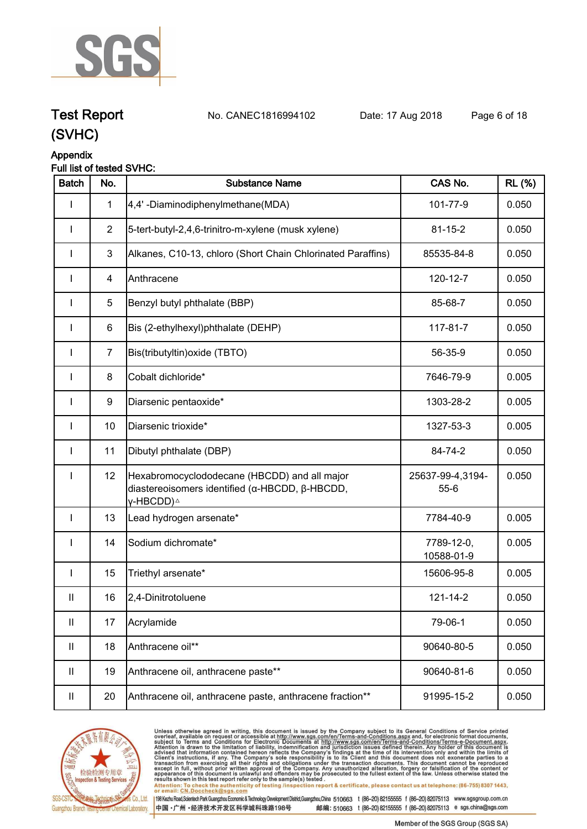

**Test Report. No. CANEC1816994102 Date: 17 Aug 2018. Page 6 of 18.**

## **(SVHC)**

### **Appendix**

### **Full list of tested SVHC:**

| <b>Batch</b> | No.            | <b>Substance Name</b>                                                                                                   | CAS No.                      | <b>RL</b> (%) |
|--------------|----------------|-------------------------------------------------------------------------------------------------------------------------|------------------------------|---------------|
| I            | $\mathbf{1}$   | 4,4'-Diaminodiphenylmethane(MDA)                                                                                        | 101-77-9                     | 0.050         |
|              | $\overline{2}$ | 5-tert-butyl-2,4,6-trinitro-m-xylene (musk xylene)                                                                      | $81 - 15 - 2$                | 0.050         |
| $\mathbf{I}$ | 3              | Alkanes, C10-13, chloro (Short Chain Chlorinated Paraffins)                                                             | 85535-84-8                   | 0.050         |
|              | 4              | Anthracene                                                                                                              | 120-12-7                     | 0.050         |
|              | 5              | Benzyl butyl phthalate (BBP)                                                                                            | 85-68-7                      | 0.050         |
| $\mathbf{I}$ | 6              | Bis (2-ethylhexyl)phthalate (DEHP)                                                                                      | 117-81-7                     | 0.050         |
| $\mathbf{I}$ | $\overline{7}$ | Bis(tributyltin) oxide (TBTO)                                                                                           | 56-35-9                      | 0.050         |
| $\mathbf{I}$ | 8              | Cobalt dichloride*                                                                                                      | 7646-79-9                    | 0.005         |
| $\mathbf{I}$ | 9              | Diarsenic pentaoxide*                                                                                                   | 1303-28-2                    | 0.005         |
| $\mathbf{I}$ | 10             | Diarsenic trioxide*                                                                                                     | 1327-53-3                    | 0.005         |
| $\mathbf{I}$ | 11             | Dibutyl phthalate (DBP)                                                                                                 | 84-74-2                      | 0.050         |
| $\mathbf{I}$ | 12             | Hexabromocyclododecane (HBCDD) and all major<br>diastereoisomers identified (α-HBCDD, β-HBCDD,<br>γ-HBCDD) <sup>∆</sup> | 25637-99-4,3194-<br>$55 - 6$ | 0.050         |
| $\mathbf{I}$ | 13             | Lead hydrogen arsenate*                                                                                                 | 7784-40-9                    | 0.005         |
| $\mathbf{I}$ | 14             | Sodium dichromate*                                                                                                      | 7789-12-0,<br>10588-01-9     | 0.005         |
| $\mathbf{I}$ | 15             | Triethyl arsenate*                                                                                                      | 15606-95-8                   | 0.005         |
| $\mathbf{H}$ | 16             | 2,4-Dinitrotoluene                                                                                                      | $121 - 14 - 2$               | 0.050         |
| Ш            | 17             | Acrylamide                                                                                                              | 79-06-1                      | 0.050         |
| Ш            | 18             | Anthracene oil**                                                                                                        | 90640-80-5                   | 0.050         |
| Ш            | 19             | Anthracene oil, anthracene paste**                                                                                      | 90640-81-6                   | 0.050         |
| Ш            | 20             | Anthracene oil, anthracene paste, anthracene fraction**                                                                 | 91995-15-2                   | 0.050         |



Unless otherwise agreed in writing, this document is issued by the Company subject to its General Conditions of Service printed<br>overleaf, available on request or accessible at http://www.sgs.com/en/Terms-and-Conditions.asp results shown in this test report refer only to the sample(s) tested .<br>Attention: To check the authenticity of testing /inspection report & certificate, please contact us at telephone: (86-755) 8307 1443,<br>or email: <u>CN.Doc</u>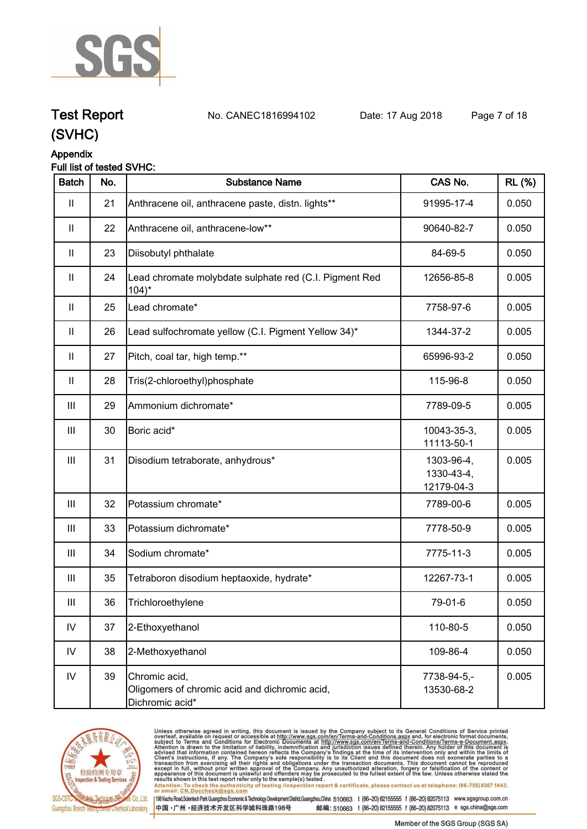

**Test Report. No. CANEC1816994102 Date: 17 Aug 2018. Page 7 of 18.**

### **(SVHC)**

### **Appendix**

### **Full list of tested SVHC:**

| <b>Batch</b>               | No. | <b>Substance Name</b>                                                             | CAS No.                                | <b>RL (%)</b> |
|----------------------------|-----|-----------------------------------------------------------------------------------|----------------------------------------|---------------|
| $\mathbf{  }$              | 21  | Anthracene oil, anthracene paste, distn. lights**                                 | 91995-17-4                             | 0.050         |
| $\mathbf{II}$              | 22  | Anthracene oil, anthracene-low**                                                  | 90640-82-7                             | 0.050         |
| $\mathop{\rm II}\nolimits$ | 23  | Diisobutyl phthalate                                                              | 84-69-5                                | 0.050         |
| $\mathbf{I}$               | 24  | Lead chromate molybdate sulphate red (C.I. Pigment Red<br>$104$ <sup>*</sup>      | 12656-85-8                             | 0.005         |
| $\mathbf{H}$               | 25  | Lead chromate*                                                                    | 7758-97-6                              | 0.005         |
| $\mathop{\rm II}\nolimits$ | 26  | Lead sulfochromate yellow (C.I. Pigment Yellow 34)*                               | 1344-37-2                              | 0.005         |
| $\mathbf{II}$              | 27  | Pitch, coal tar, high temp.**                                                     | 65996-93-2                             | 0.050         |
| $\mathbf{II}$              | 28  | Tris(2-chloroethyl)phosphate                                                      | 115-96-8                               | 0.050         |
| $\mathbf{III}$             | 29  | Ammonium dichromate*                                                              | 7789-09-5                              | 0.005         |
| III                        | 30  | Boric acid*                                                                       | 10043-35-3,<br>11113-50-1              | 0.005         |
| Ш                          | 31  | Disodium tetraborate, anhydrous*                                                  | 1303-96-4,<br>1330-43-4,<br>12179-04-3 | 0.005         |
| $\mathbf{III}$             | 32  | Potassium chromate*                                                               | 7789-00-6                              | 0.005         |
| $\mathbf{III}$             | 33  | Potassium dichromate*                                                             | 7778-50-9                              | 0.005         |
| III                        | 34  | Sodium chromate*                                                                  | 7775-11-3                              | 0.005         |
| Ш                          | 35  | Tetraboron disodium heptaoxide, hydrate*                                          | 12267-73-1                             | 0.005         |
| Ш                          | 36  | Trichloroethylene                                                                 | 79-01-6                                | 0.050         |
| ${\sf IV}$                 | 37  | 2-Ethoxyethanol                                                                   | 110-80-5                               | 0.050         |
| IV                         | 38  | 2-Methoxyethanol                                                                  | 109-86-4                               | 0.050         |
| ${\sf IV}$                 | 39  | Chromic acid,<br>Oligomers of chromic acid and dichromic acid,<br>Dichromic acid* | 7738-94-5,-<br>13530-68-2              | 0.005         |



Unless otherwise agreed in writing, this document is issued by the Company subject to its General Conditions of Service printed<br>overleaf, available on request or accessible at http://www.sgs.com/en/Terms-and-Conditions.asp results shown in this test report refer only to the sample(s) tested .<br>Attention: To check the authenticity of testing /inspection report & certificate, please contact us at telephone: (86-755) 8307 1443,<br>or email: <u>CN.Doc</u>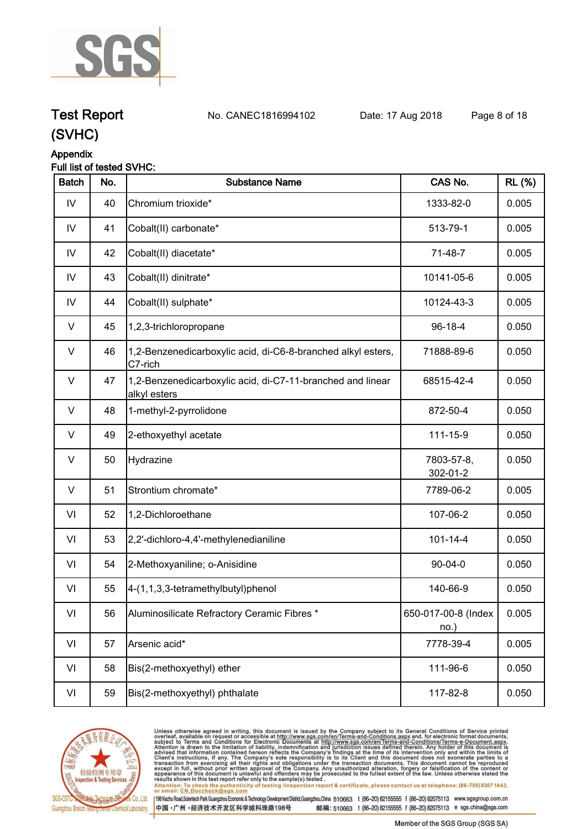

**Test Report. No. CANEC1816994102 Date: 17 Aug 2018. Page 8 of 18.**

## **(SVHC)**

### **Appendix**

|  | Full list of tested SVHC: |  |
|--|---------------------------|--|
|  |                           |  |

| <b>Batch</b> | No. | <b>Substance Name</b>                                                      | CAS No.                        | <b>RL (%)</b> |
|--------------|-----|----------------------------------------------------------------------------|--------------------------------|---------------|
| IV           | 40  | Chromium trioxide*                                                         | 1333-82-0                      | 0.005         |
| ${\sf IV}$   | 41  | Cobalt(II) carbonate*                                                      | 513-79-1                       | 0.005         |
| IV           | 42  | Cobalt(II) diacetate*                                                      | 71-48-7                        | 0.005         |
| IV           | 43  | Cobalt(II) dinitrate*                                                      | 10141-05-6                     | 0.005         |
| IV           | 44  | Cobalt(II) sulphate*                                                       | 10124-43-3                     | 0.005         |
| V            | 45  | 1,2,3-trichloropropane                                                     | $96-18-4$                      | 0.050         |
| V            | 46  | 1,2-Benzenedicarboxylic acid, di-C6-8-branched alkyl esters,<br>C7-rich    | 71888-89-6                     | 0.050         |
| $\vee$       | 47  | 1,2-Benzenedicarboxylic acid, di-C7-11-branched and linear<br>alkyl esters | 68515-42-4                     | 0.050         |
| $\vee$       | 48  | 1-methyl-2-pyrrolidone                                                     | 872-50-4                       | 0.050         |
| V            | 49  | 2-ethoxyethyl acetate                                                      | 111-15-9                       | 0.050         |
| $\vee$       | 50  | Hydrazine                                                                  | 7803-57-8,<br>302-01-2         | 0.050         |
| $\vee$       | 51  | Strontium chromate*                                                        | 7789-06-2                      | 0.005         |
| VI           | 52  | 1,2-Dichloroethane                                                         | 107-06-2                       | 0.050         |
| VI           | 53  | 2,2'-dichloro-4,4'-methylenedianiline                                      | $101 - 14 - 4$                 | 0.050         |
| VI           | 54  | 2-Methoxyaniline; o-Anisidine                                              | $90 - 04 - 0$                  | 0.050         |
| VI           | 55  | 4-(1,1,3,3-tetramethylbutyl)phenol                                         | 140-66-9                       | 0.050         |
| VI           | 56  | Aluminosilicate Refractory Ceramic Fibres *                                | 650-017-00-8 (Index<br>$no.$ ) | 0.005         |
| VI           | 57  | Arsenic acid*                                                              | 7778-39-4                      | 0.005         |
| VI           | 58  | Bis(2-methoxyethyl) ether                                                  | 111-96-6                       | 0.050         |
| VI           | 59  | Bis(2-methoxyethyl) phthalate                                              | 117-82-8                       | 0.050         |



Unless otherwise agreed in writing, this document is issued by the Company subject to its General Conditions of Service printed<br>overleaf, available on request or accessible at http://www.sgs.com/en/Terms-and-Conditions.asp Attention: To check the authenticity of testing /inspection report & certificate, please contact us at telephone: (86-755) 8307 1443,<br>Attention: To check the authenticity of testing /inspection report & certificate, please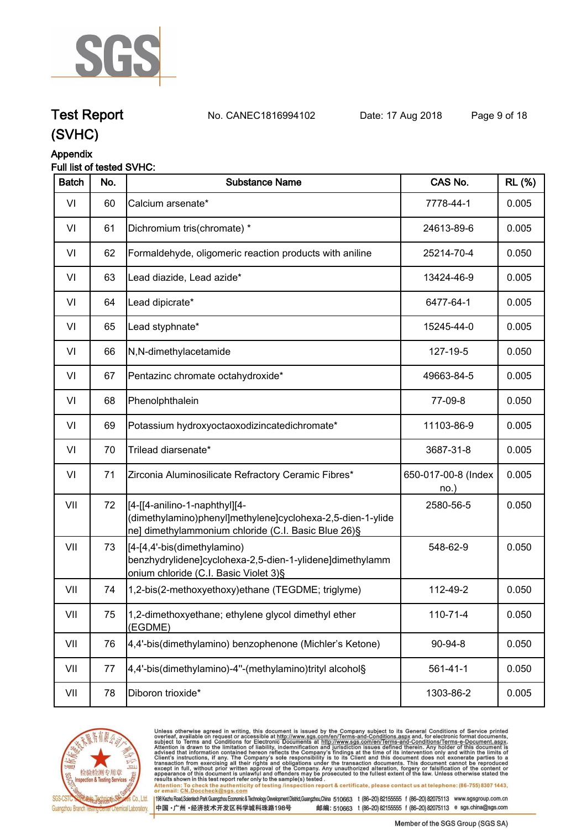

**Test Report. No. CANEC1816994102 Date: 17 Aug 2018. Page 9 of 18.**

## **(SVHC)**

### **Appendix**

### **Full list of tested SVHC:**

| <b>Batch</b> | No. | <b>Substance Name</b>                                                                                                                               | CAS No.                    | <b>RL (%)</b> |
|--------------|-----|-----------------------------------------------------------------------------------------------------------------------------------------------------|----------------------------|---------------|
| VI           | 60  | Calcium arsenate*                                                                                                                                   | 7778-44-1                  | 0.005         |
| VI           | 61  | Dichromium tris(chromate) *                                                                                                                         | 24613-89-6                 | 0.005         |
| VI           | 62  | Formaldehyde, oligomeric reaction products with aniline                                                                                             | 25214-70-4                 | 0.050         |
| VI           | 63  | Lead diazide, Lead azide*                                                                                                                           | 13424-46-9                 | 0.005         |
| VI           | 64  | Lead dipicrate*                                                                                                                                     | 6477-64-1                  | 0.005         |
| VI           | 65  | Lead styphnate*                                                                                                                                     | 15245-44-0                 | 0.005         |
| VI           | 66  | N,N-dimethylacetamide                                                                                                                               | 127-19-5                   | 0.050         |
| VI           | 67  | Pentazinc chromate octahydroxide*                                                                                                                   | 49663-84-5                 | 0.005         |
| VI           | 68  | Phenolphthalein                                                                                                                                     | 77-09-8                    | 0.050         |
| VI           | 69  | Potassium hydroxyoctaoxodizincatedichromate*                                                                                                        | 11103-86-9                 | 0.005         |
| VI           | 70  | Trilead diarsenate*                                                                                                                                 | 3687-31-8                  | 0.005         |
| VI           | 71  | Zirconia Aluminosilicate Refractory Ceramic Fibres*                                                                                                 | 650-017-00-8 (Index<br>no. | 0.005         |
| VII          | 72  | [[4-[[4-anilino-1-naphthyl][4-<br>(dimethylamino)phenyl]methylene]cyclohexa-2,5-dien-1-ylide<br>ne] dimethylammonium chloride (C.I. Basic Blue 26)§ | 2580-56-5                  | 0.050         |
| VII          | 73  | [[4-[4,4'-bis(dimethylamino)<br>benzhydrylidene]cyclohexa-2,5-dien-1-ylidene]dimethylamm<br>onium chloride (C.I. Basic Violet 3)§                   | 548-62-9                   | 0.050         |
| VII          | 74  | 1,2-bis(2-methoxyethoxy)ethane (TEGDME; triglyme)                                                                                                   | 112-49-2                   | 0.050         |
| VII          | 75  | 1,2-dimethoxyethane; ethylene glycol dimethyl ether<br>(EGDME)                                                                                      | 110-71-4                   | 0.050         |
| VII          | 76  | 4,4'-bis(dimethylamino) benzophenone (Michler's Ketone)                                                                                             | 90-94-8                    | 0.050         |
| VII          | 77  | 4,4'-bis(dimethylamino)-4"-(methylamino)trityl alcohol§                                                                                             | $561 - 41 - 1$             | 0.050         |
| VII          | 78  | Diboron trioxide*                                                                                                                                   | 1303-86-2                  | 0.005         |
|              |     |                                                                                                                                                     |                            |               |



Unless otherwise agreed in writing, this document is issued by the Company subject to its General Conditions of Service printed<br>overleaf, available on request or accessible at http://www.sgs.com/en/Terms-and-Conditions.as

198 Kezhu Road,Scientech Park Guangzhou Economic & Technology Development District,Guangzhou,China 510663 t (86-20) 82155555 f (86-20) 82075113 www.sgsgroup.com.cn 中国·广州·经济技术开发区科学城科珠路198号 邮编: 510663 t (86-20) 82155555 f (86-20) 82075113 e sgs.china@sgs.com

Member of the SGS Group (SGS SA)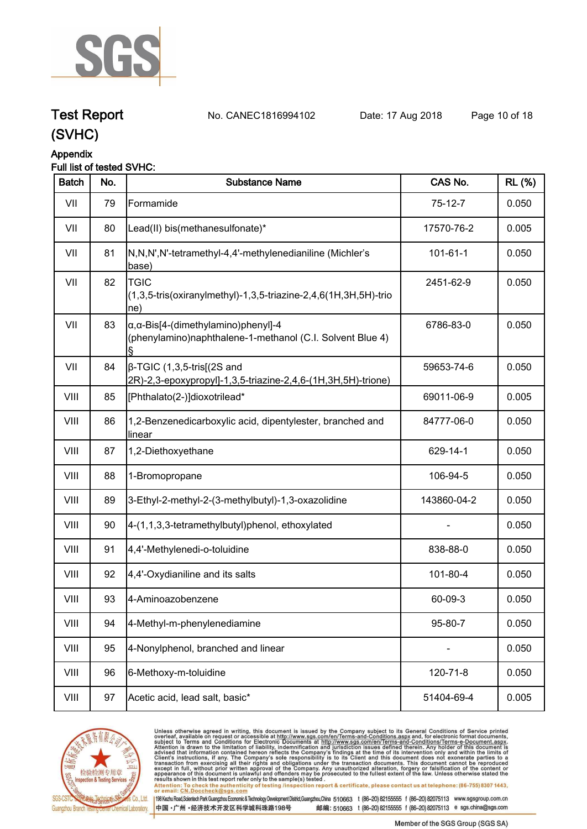

**Test Report. No. CANEC1816994102 Date: 17 Aug 2018. Page 10 of 18.**

## **(SVHC)**

#### **Appendix**

### **Full list of tested SVHC:**

| <b>Batch</b> | No. | <b>Substance Name</b>                                                                                            | CAS No.        | <b>RL (%)</b> |
|--------------|-----|------------------------------------------------------------------------------------------------------------------|----------------|---------------|
| VII          | 79  | Formamide                                                                                                        | $75-12-7$      | 0.050         |
| VII          | 80  | Lead(II) bis(methanesulfonate)*                                                                                  | 17570-76-2     | 0.005         |
| VII          | 81  | N,N,N',N'-tetramethyl-4,4'-methylenedianiline (Michler's<br>base)                                                | $101 - 61 - 1$ | 0.050         |
| VII          | 82  | <b>TGIC</b><br>(1,3,5-tris(oxiranylmethyl)-1,3,5-triazine-2,4,6(1H,3H,5H)-trio<br>$ ne\rangle$                   | 2451-62-9      | 0.050         |
| VII          | 83  | $\alpha$ , $\alpha$ -Bis[4-(dimethylamino)phenyl]-4<br>(phenylamino)naphthalene-1-methanol (C.I. Solvent Blue 4) | 6786-83-0      | 0.050         |
| VII          | 84  | $\beta$ -TGIC (1,3,5-tris[(2S and<br>2R)-2,3-epoxypropyl]-1,3,5-triazine-2,4,6-(1H,3H,5H)-trione)                | 59653-74-6     | 0.050         |
| VIII         | 85  | [Phthalato(2-)]dioxotrilead*                                                                                     | 69011-06-9     | 0.005         |
| VIII         | 86  | 1,2-Benzenedicarboxylic acid, dipentylester, branched and<br>linear                                              | 84777-06-0     | 0.050         |
| VIII         | 87  | 1,2-Diethoxyethane                                                                                               | 629-14-1       | 0.050         |
| VIII         | 88  | 1-Bromopropane                                                                                                   | 106-94-5       | 0.050         |
| VIII         | 89  | 3-Ethyl-2-methyl-2-(3-methylbutyl)-1,3-oxazolidine                                                               | 143860-04-2    | 0.050         |
| VIII         | 90  | 4-(1,1,3,3-tetramethylbutyl)phenol, ethoxylated                                                                  |                | 0.050         |
| VIII         | 91  | 4,4'-Methylenedi-o-toluidine                                                                                     | 838-88-0       | 0.050         |
| VIII         | 92  | 4,4'-Oxydianiline and its salts                                                                                  | 101-80-4       | 0.050         |
| VIII         | 93  | 4-Aminoazobenzene                                                                                                | 60-09-3        | 0.050         |
| VIII         | 94  | 4-Methyl-m-phenylenediamine                                                                                      | 95-80-7        | 0.050         |
| VIII         | 95  | 4-Nonylphenol, branched and linear                                                                               |                | 0.050         |
| VIII         | 96  | 6-Methoxy-m-toluidine                                                                                            | 120-71-8       | 0.050         |
| VIII         | 97  | Acetic acid, lead salt, basic*                                                                                   | 51404-69-4     | 0.005         |



Unless otherwise agreed in writing, this document is issued by the Company subject to its General Conditions of Service printed<br>overleaf, available on request or accessible at http://www.sgs.com/en/Terms-and-Conditions.asp results shown in this test report refer only to the sample(s) tested .<br>Attention: To check the authenticity of testing /inspection report & certificate, please contact us at telephone: (86-755) 8307 1443,<br>or email: <u>CN.Doc</u>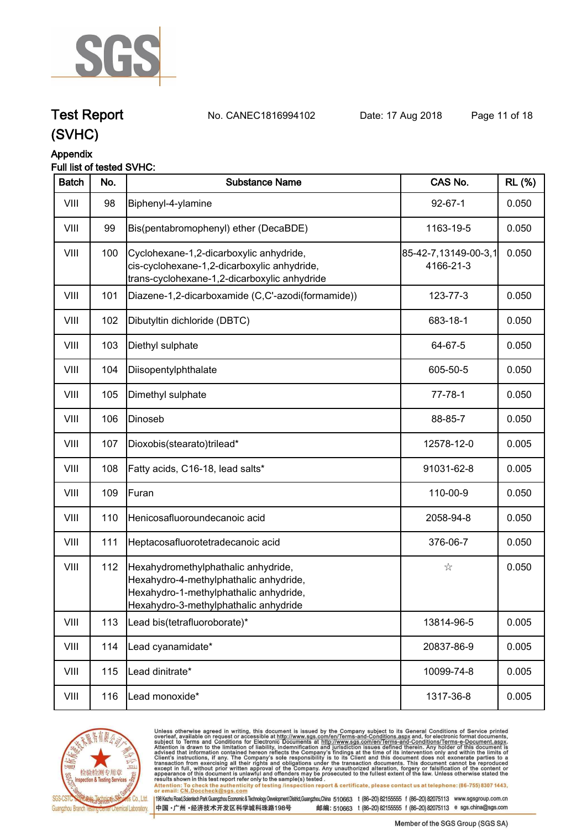

**Test Report. No. CANEC1816994102 Date: 17 Aug 2018. Page 11 of 18.**

## **(SVHC)**

### **Appendix**

### **Full list of tested SVHC:**

| <b>Batch</b> | No. | <b>Substance Name</b>                                                                                                                                            | CAS No.                           | <b>RL</b> (%) |
|--------------|-----|------------------------------------------------------------------------------------------------------------------------------------------------------------------|-----------------------------------|---------------|
| VIII         | 98  | Biphenyl-4-ylamine                                                                                                                                               | $92 - 67 - 1$                     | 0.050         |
| VIII         | 99  | Bis(pentabromophenyl) ether (DecaBDE)                                                                                                                            | 1163-19-5                         | 0.050         |
| VIII         | 100 | Cyclohexane-1,2-dicarboxylic anhydride,<br>cis-cyclohexane-1,2-dicarboxylic anhydride,<br>trans-cyclohexane-1,2-dicarboxylic anhydride                           | 85-42-7,13149-00-3,1<br>4166-21-3 | 0.050         |
| VIII         | 101 | Diazene-1,2-dicarboxamide (C,C'-azodi(formamide))                                                                                                                | 123-77-3                          | 0.050         |
| VIII         | 102 | Dibutyltin dichloride (DBTC)                                                                                                                                     | 683-18-1                          | 0.050         |
| VIII         | 103 | Diethyl sulphate                                                                                                                                                 | 64-67-5                           | 0.050         |
| VIII         | 104 | Diisopentylphthalate                                                                                                                                             | 605-50-5                          | 0.050         |
| VIII         | 105 | Dimethyl sulphate                                                                                                                                                | $77 - 78 - 1$                     | 0.050         |
| VIII         | 106 | Dinoseb                                                                                                                                                          | 88-85-7                           | 0.050         |
| VIII         | 107 | Dioxobis(stearato)trilead*                                                                                                                                       | 12578-12-0                        | 0.005         |
| VIII         | 108 | Fatty acids, C16-18, lead salts*                                                                                                                                 | 91031-62-8                        | 0.005         |
| VIII         | 109 | Furan                                                                                                                                                            | 110-00-9                          | 0.050         |
| VIII         | 110 | Henicosafluoroundecanoic acid                                                                                                                                    | 2058-94-8                         | 0.050         |
| VIII         | 111 | Heptacosafluorotetradecanoic acid                                                                                                                                | 376-06-7                          | 0.050         |
| VIII         | 112 | Hexahydromethylphathalic anhydride,<br>Hexahydro-4-methylphathalic anhydride,<br>Hexahydro-1-methylphathalic anhydride,<br>Hexahydro-3-methylphathalic anhydride | ☆                                 | 0.050         |
| VIII         | 113 | Lead bis(tetrafluoroborate)*                                                                                                                                     | 13814-96-5                        | 0.005         |
| VIII         | 114 | Lead cyanamidate*                                                                                                                                                | 20837-86-9                        | 0.005         |
| VIII         | 115 | Lead dinitrate*                                                                                                                                                  | 10099-74-8                        | 0.005         |
| VIII         | 116 | Lead monoxide*                                                                                                                                                   | 1317-36-8                         | 0.005         |



Unless otherwise agreed in writing, this document is issued by the Company subject to its General Conditions of Service printed<br>overleaf, available on request or accessible at http://www.sgs.com/en/Terms-and-Conditions.asp results shown in this test report refer only to the sample(s) tested .<br>Attention: To check the authenticity of testing /inspection report & certificate, please contact us at telephone: (86-755) 8307 1443,<br>or email: <u>CN.Doc</u>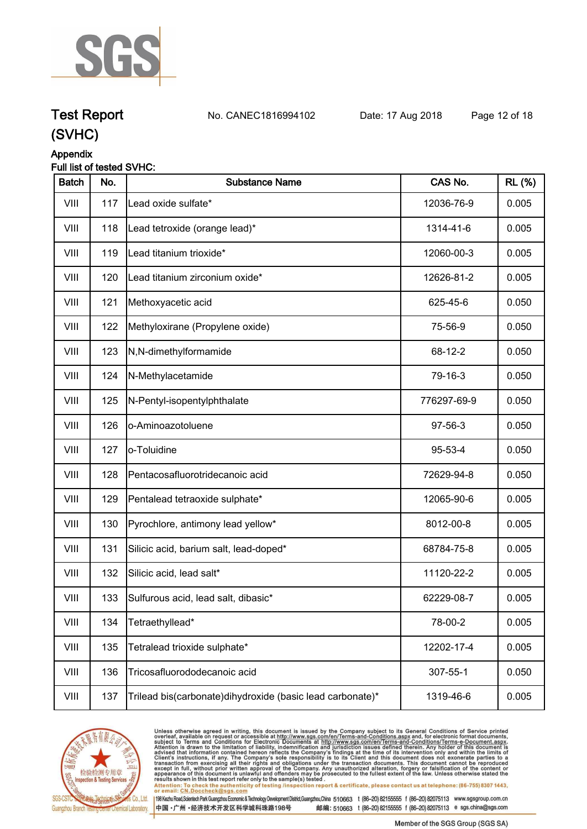

**Test Report. No. CANEC1816994102 Date: 17 Aug 2018. Page 12 of 18.**

## **(SVHC)**

### **Appendix**

### **Full list of tested SVHC:**

| <b>Batch</b> | No. | <b>Substance Name</b>                                     | CAS No.     | <b>RL (%)</b> |
|--------------|-----|-----------------------------------------------------------|-------------|---------------|
| VIII         | 117 | Lead oxide sulfate*                                       | 12036-76-9  | 0.005         |
| VIII         | 118 | Lead tetroxide (orange lead)*                             | 1314-41-6   | 0.005         |
| VIII         | 119 | Lead titanium trioxide*                                   | 12060-00-3  | 0.005         |
| VIII         | 120 | Lead titanium zirconium oxide*                            | 12626-81-2  | 0.005         |
| VIII         | 121 | Methoxyacetic acid                                        | 625-45-6    | 0.050         |
| VIII         | 122 | Methyloxirane (Propylene oxide)                           | 75-56-9     | 0.050         |
| VIII         | 123 | N,N-dimethylformamide                                     | 68-12-2     | 0.050         |
| VIII         | 124 | N-Methylacetamide                                         | 79-16-3     | 0.050         |
| VIII         | 125 | N-Pentyl-isopentylphthalate                               | 776297-69-9 | 0.050         |
| VIII         | 126 | o-Aminoazotoluene                                         | 97-56-3     | 0.050         |
| VIII         | 127 | o-Toluidine                                               | 95-53-4     | 0.050         |
| VIII         | 128 | Pentacosafluorotridecanoic acid                           | 72629-94-8  | 0.050         |
| VIII         | 129 | Pentalead tetraoxide sulphate*                            | 12065-90-6  | 0.005         |
| VIII         | 130 | Pyrochlore, antimony lead yellow*                         | 8012-00-8   | 0.005         |
| VIII         | 131 | Silicic acid, barium salt, lead-doped*                    | 68784-75-8  | 0.005         |
| VIII         | 132 | Silicic acid, lead salt*                                  | 11120-22-2  | 0.005         |
| VIII         | 133 | Sulfurous acid, lead salt, dibasic*                       | 62229-08-7  | 0.005         |
| VIII         | 134 | Tetraethyllead*                                           | 78-00-2     | 0.005         |
| VIII         | 135 | Tetralead trioxide sulphate*                              | 12202-17-4  | 0.005         |
| VIII         | 136 | Tricosafluorododecanoic acid                              | 307-55-1    | 0.050         |
| VIII         | 137 | Trilead bis(carbonate)dihydroxide (basic lead carbonate)* | 1319-46-6   | 0.005         |



Unless otherwise agreed in writing, this document is issued by the Company subject to its General Conditions of Service printed<br>overleaf, available on request or accessible at http://www.sgs.com/en/Terms-and-Conditions.asp Attention: To check the authenticity of testing /inspection report & certificate, please contact us at telephone: (86-755) 8307 1443,<br>Attention: To check the authenticity of testing /inspection report & certificate, please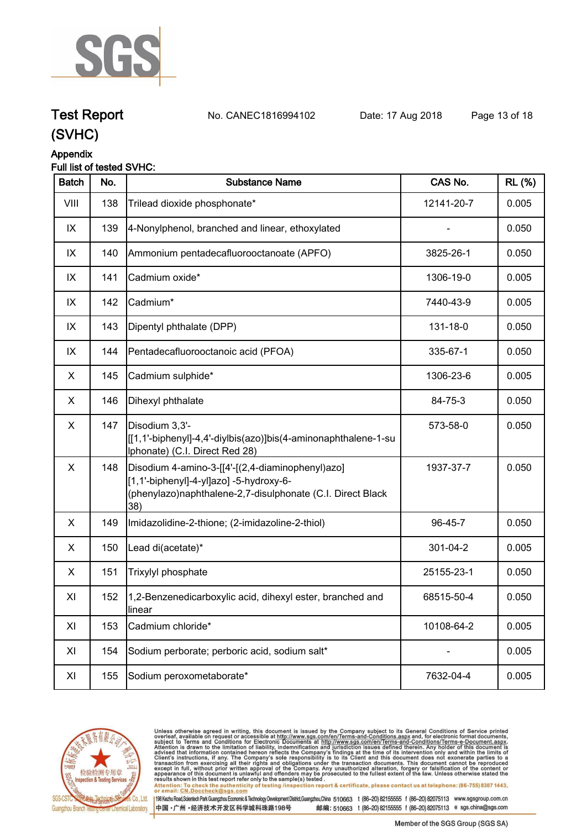

**Test Report. No. CANEC1816994102 Date: 17 Aug 2018. Page 13 of 18.**

### **(SVHC)**

### **Appendix**

### **Full list of tested SVHC:**

| <b>Batch</b> | No. | <b>Substance Name</b>                                                                                                                                            | CAS No.    | <b>RL (%)</b> |
|--------------|-----|------------------------------------------------------------------------------------------------------------------------------------------------------------------|------------|---------------|
| VIII         | 138 | Trilead dioxide phosphonate*                                                                                                                                     | 12141-20-7 | 0.005         |
| IX           | 139 | 4-Nonylphenol, branched and linear, ethoxylated                                                                                                                  |            | 0.050         |
| IX           | 140 | Ammonium pentadecafluorooctanoate (APFO)                                                                                                                         | 3825-26-1  | 0.050         |
| IX           | 141 | Cadmium oxide*                                                                                                                                                   | 1306-19-0  | 0.005         |
| IX           | 142 | Cadmium*                                                                                                                                                         | 7440-43-9  | 0.005         |
| IX           | 143 | Dipentyl phthalate (DPP)                                                                                                                                         | 131-18-0   | 0.050         |
| IX           | 144 | Pentadecafluorooctanoic acid (PFOA)                                                                                                                              | 335-67-1   | 0.050         |
| X            | 145 | Cadmium sulphide*                                                                                                                                                | 1306-23-6  | 0.005         |
| X            | 146 | Dihexyl phthalate                                                                                                                                                | 84-75-3    | 0.050         |
| X            | 147 | Disodium 3,3'-<br>[[1,1'-biphenyl]-4,4'-diylbis(azo)]bis(4-aminonaphthalene-1-su<br>Iphonate) (C.I. Direct Red 28)                                               | 573-58-0   | 0.050         |
| X            | 148 | Disodium 4-amino-3-[[4'-[(2,4-diaminophenyl)azo]<br>[1,1'-biphenyl]-4-yl]azo] -5-hydroxy-6-<br>(phenylazo)naphthalene-2,7-disulphonate (C.I. Direct Black<br>38) | 1937-37-7  | 0.050         |
| X            | 149 | Imidazolidine-2-thione; (2-imidazoline-2-thiol)                                                                                                                  | 96-45-7    | 0.050         |
| X            | 150 | Lead di(acetate)*                                                                                                                                                | 301-04-2   | 0.005         |
| X.           | 151 | Trixylyl phosphate                                                                                                                                               | 25155-23-1 | 0.050         |
| XI           | 152 | 1,2-Benzenedicarboxylic acid, dihexyl ester, branched and<br>linear                                                                                              | 68515-50-4 | 0.050         |
| XI           | 153 | Cadmium chloride*                                                                                                                                                | 10108-64-2 | 0.005         |
| XI           | 154 | Sodium perborate; perboric acid, sodium salt*                                                                                                                    |            | 0.005         |
| XI           | 155 | Sodium peroxometaborate*                                                                                                                                         | 7632-04-4  | 0.005         |



Unless otherwise agreed in writing, this document is issued by the Company subject to its General Conditions of Service printed<br>overleaf, available on request or accessible at http://www.sgs.com/en/Terms-and-Conditions.asp results shown in this test report refer only to the sample(s) tested .<br>Attention: To check the authenticity of testing /inspection report & certificate, please contact us at telephone: (86-755) 8307 1443,<br>or email: <u>CN.Doc</u>

198 Kezhu Road,Scientech Park Guangzhou Economic & Technology Development District,Guangzhou,China 510663 t (86-20) 82155555 f (86-20) 82075113 www.sgsgroup.com.cn

中国·广州·经济技术开发区科学城科珠路198号 邮编: 510663 t (86-20) 82155555 f (86-20) 82075113 e sgs.china@sgs.com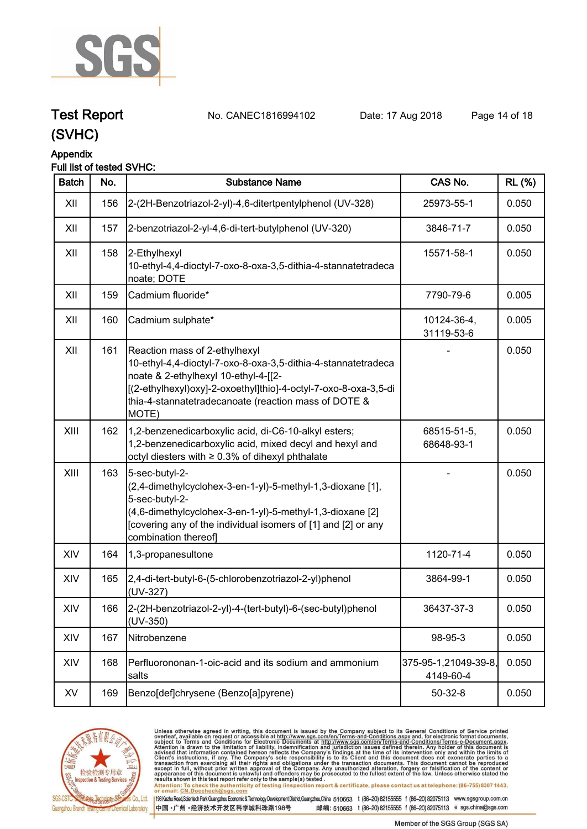

**Test Report. No. CANEC1816994102 Date: 17 Aug 2018. Page 14 of 18.**

### **(SVHC)**

### **Appendix**

### **Full list of tested SVHC:**

| <b>Batch</b> | No. | <b>Substance Name</b>                                                                                                                                                                                                                                                      | CAS No.                           | <b>RL (%)</b> |
|--------------|-----|----------------------------------------------------------------------------------------------------------------------------------------------------------------------------------------------------------------------------------------------------------------------------|-----------------------------------|---------------|
| XII          | 156 | 2-(2H-Benzotriazol-2-yl)-4,6-ditertpentylphenol (UV-328)                                                                                                                                                                                                                   | 25973-55-1                        | 0.050         |
| XII          | 157 | 2-benzotriazol-2-yl-4,6-di-tert-butylphenol (UV-320)                                                                                                                                                                                                                       | 3846-71-7                         | 0.050         |
| XII          | 158 | 2-Ethylhexyl<br>10-ethyl-4,4-dioctyl-7-oxo-8-oxa-3,5-dithia-4-stannatetradeca<br>noate; DOTE                                                                                                                                                                               | 15571-58-1                        | 0.050         |
| XII          | 159 | Cadmium fluoride*                                                                                                                                                                                                                                                          | 7790-79-6                         | 0.005         |
| XII          | 160 | Cadmium sulphate*                                                                                                                                                                                                                                                          | 10124-36-4,<br>31119-53-6         | 0.005         |
| XII          | 161 | Reaction mass of 2-ethylhexyl<br>10-ethyl-4,4-dioctyl-7-oxo-8-oxa-3,5-dithia-4-stannatetradeca<br>noate & 2-ethylhexyl 10-ethyl-4-[[2-<br>[(2-ethylhexyl)oxy]-2-oxoethyl]thio]-4-octyl-7-oxo-8-oxa-3,5-di<br>thia-4-stannatetradecanoate (reaction mass of DOTE &<br>MOTE) |                                   | 0.050         |
| XIII         | 162 | 1,2-benzenedicarboxylic acid, di-C6-10-alkyl esters;<br>1,2-benzenedicarboxylic acid, mixed decyl and hexyl and<br>octyl diesters with $\geq 0.3\%$ of dihexyl phthalate                                                                                                   | 68515-51-5,<br>68648-93-1         | 0.050         |
| XIII         | 163 | 5-sec-butyl-2-<br>(2,4-dimethylcyclohex-3-en-1-yl)-5-methyl-1,3-dioxane [1],<br>5-sec-butyl-2-<br>(4,6-dimethylcyclohex-3-en-1-yl)-5-methyl-1,3-dioxane [2]<br>[covering any of the individual isomers of [1] and [2] or any<br>combination thereof]                       |                                   | 0.050         |
| XIV          | 164 | 1,3-propanesultone                                                                                                                                                                                                                                                         | 1120-71-4                         | 0.050         |
| XIV          | 165 | 2,4-di-tert-butyl-6-(5-chlorobenzotriazol-2-yl)phenol<br>(UV-327)                                                                                                                                                                                                          | 3864-99-1                         | 0.050         |
| XIV          | 166 | 2-(2H-benzotriazol-2-yl)-4-(tert-butyl)-6-(sec-butyl)phenol<br>(UV-350)                                                                                                                                                                                                    | 36437-37-3                        | 0.050         |
| XIV          | 167 | Nitrobenzene                                                                                                                                                                                                                                                               | 98-95-3                           | 0.050         |
| XIV          | 168 | Perfluorononan-1-oic-acid and its sodium and ammonium<br>salts                                                                                                                                                                                                             | 375-95-1,21049-39-8,<br>4149-60-4 | 0.050         |
| XV           | 169 | Benzo[def]chrysene (Benzo[a]pyrene)                                                                                                                                                                                                                                        | $50-32-8$                         | 0.050         |



Unless otherwise agreed in writing, this document is issued by the Company subject to its General Conditions of Service printed<br>overleaf, available on request or accessible at http://www.sgs.com/en/Terms-and-Conditions.asp results shown in this test report refer only to the sample(s) tested .<br>Attention: To check the authenticity of testing /inspection report & certificate, please contact us at telephone: (86-755) 8307 1443,<br>or email: <u>CN.Doc</u>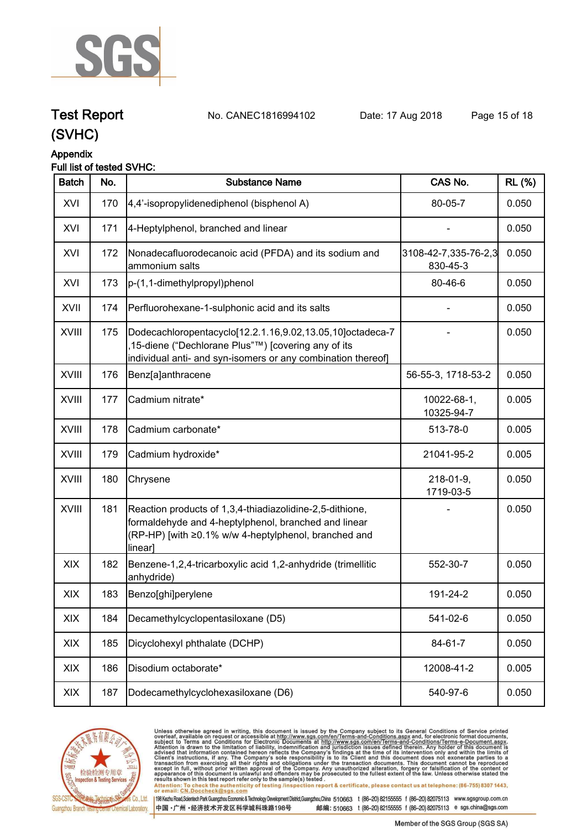

**Test Report. No. CANEC1816994102 Date: 17 Aug 2018. Page 15 of 18.**

### **(SVHC)**

#### **Appendix**

### **Full list of tested SVHC:**

| <b>Batch</b> | No. | <b>Substance Name</b>                                                                                                                                                               | CAS No.                          | <b>RL (%)</b> |
|--------------|-----|-------------------------------------------------------------------------------------------------------------------------------------------------------------------------------------|----------------------------------|---------------|
| XVI          | 170 | 4,4'-isopropylidenediphenol (bisphenol A)                                                                                                                                           | 80-05-7                          | 0.050         |
| XVI          | 171 | 4-Heptylphenol, branched and linear                                                                                                                                                 |                                  | 0.050         |
| XVI          | 172 | Nonadecafluorodecanoic acid (PFDA) and its sodium and<br>ammonium salts                                                                                                             | 3108-42-7,335-76-2,3<br>830-45-3 | 0.050         |
| XVI          | 173 | p-(1,1-dimethylpropyl)phenol                                                                                                                                                        | 80-46-6                          | 0.050         |
| XVII         | 174 | Perfluorohexane-1-sulphonic acid and its salts                                                                                                                                      |                                  | 0.050         |
| <b>XVIII</b> | 175 | Dodecachloropentacyclo[12.2.1.16,9.02,13.05,10]octadeca-7<br>15-diene ("Dechlorane Plus"™) [covering any of its<br>individual anti- and syn-isomers or any combination thereof]     |                                  | 0.050         |
| XVIII        | 176 | Benz[a]anthracene                                                                                                                                                                   | 56-55-3, 1718-53-2               | 0.050         |
| <b>XVIII</b> | 177 | Cadmium nitrate*                                                                                                                                                                    | 10022-68-1,<br>10325-94-7        | 0.005         |
| XVIII        | 178 | Cadmium carbonate*                                                                                                                                                                  | 513-78-0                         | 0.005         |
| <b>XVIII</b> | 179 | Cadmium hydroxide*                                                                                                                                                                  | 21041-95-2                       | 0.005         |
| <b>XVIII</b> | 180 | Chrysene                                                                                                                                                                            | 218-01-9,<br>1719-03-5           | 0.050         |
| XVIII        | 181 | Reaction products of 1,3,4-thiadiazolidine-2,5-dithione,<br>formaldehyde and 4-heptylphenol, branched and linear<br>(RP-HP) [with ≥0.1% w/w 4-heptylphenol, branched and<br>linear] |                                  | 0.050         |
| XIX          | 182 | Benzene-1,2,4-tricarboxylic acid 1,2-anhydride (trimellitic<br>anhydride)                                                                                                           | 552-30-7                         | 0.050         |
| XIX          | 183 | Benzo[ghi]perylene                                                                                                                                                                  | 191-24-2                         | 0.050         |
| XIX          | 184 | Decamethylcyclopentasiloxane (D5)                                                                                                                                                   | 541-02-6                         | 0.050         |
| XIX          | 185 | Dicyclohexyl phthalate (DCHP)                                                                                                                                                       | 84-61-7                          | 0.050         |
| XIX          | 186 | Disodium octaborate*                                                                                                                                                                | 12008-41-2                       | 0.005         |
| XIX          | 187 | Dodecamethylcyclohexasiloxane (D6)                                                                                                                                                  | 540-97-6                         | 0.050         |



Unless otherwise agreed in writing, this document is issued by the Company subject to its General Conditions of Service printed<br>overleaf, available on request or accessible at http://www.sgs.com/en/Terms-and-Conditions.asp results shown in this test report refer only to the sample(s) tested .<br>Attention: To check the authenticity of testing /inspection report & certificate, please contact us at telephone: (86-755) 8307 1443,<br>or email: <u>CN.Doc</u>

198 Kezhu Road,Scientech Park Guangzhou Economic & Technology Development District,Guangzhou,China 510663 t (86-20) 82155555 f (86-20) 82075113 www.sgsgroup.com.cn

中国·广州·经济技术开发区科学城科珠路198号 邮编: 510663 t (86-20) 82155555 f (86-20) 82075113 e sgs.china@sgs.com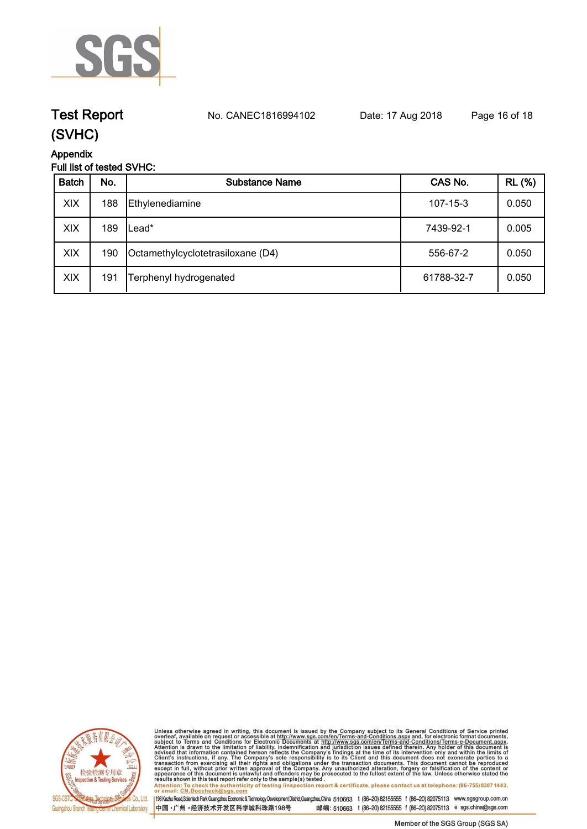

## **Test Report. No. CANEC1816994102 Date: 17 Aug 2018. Page 16 of 18.**

### **(SVHC)**

**Appendix**

### **Full list of tested SVHC:**

| <b>Batch</b> | No. | Substance Name                    | CAS No.        | <b>RL</b> (%) |
|--------------|-----|-----------------------------------|----------------|---------------|
| XIX          | 188 | Ethylenediamine                   | $107 - 15 - 3$ | 0.050         |
| XIX          | 189 | _ead*                             | 7439-92-1      | 0.005         |
| XIX          | 190 | Octamethylcyclotetrasiloxane (D4) | 556-67-2       | 0.050         |
| XIX          | 191 | Terphenyl hydrogenated            | 61788-32-7     | 0.050         |



Unless otherwise agreed in writing, this document is issued by the Company subject to its General Conditions of Service printed<br>overleaf, available on request or accessible at http://www.sgs.com/en/Terms-and-Conditions.as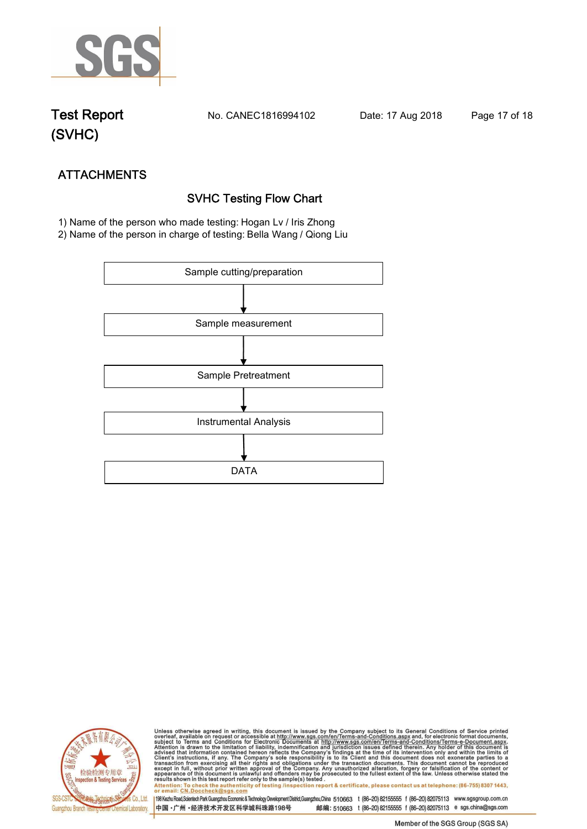

**Test Report. No. CANEC1816994102 Date: 17 Aug 2018. Page 17 of 18.**

## **(SVHC)**

## **ATTACHMENTS SVHC Testing Flow Chart**

 **1) Name of the person who made testing: Hogan Lv / Iris Zhong**

**2) Name of the person in charge of testing: Bella Wang / Qiong Liu**





Unless otherwise agreed in writing, this document is issued by the Company subject to its General Conditions of Service printed<br>overleaf, available on request or accessible at http://www.sgs.com/en/Terms-and-Conditions.asp Attention: To check the authenticity of testing /inspection report & certificate, please contact us at telephone: (86-755) 8307 1443,<br>Attention: To check the authenticity of testing /inspection report & certificate, please